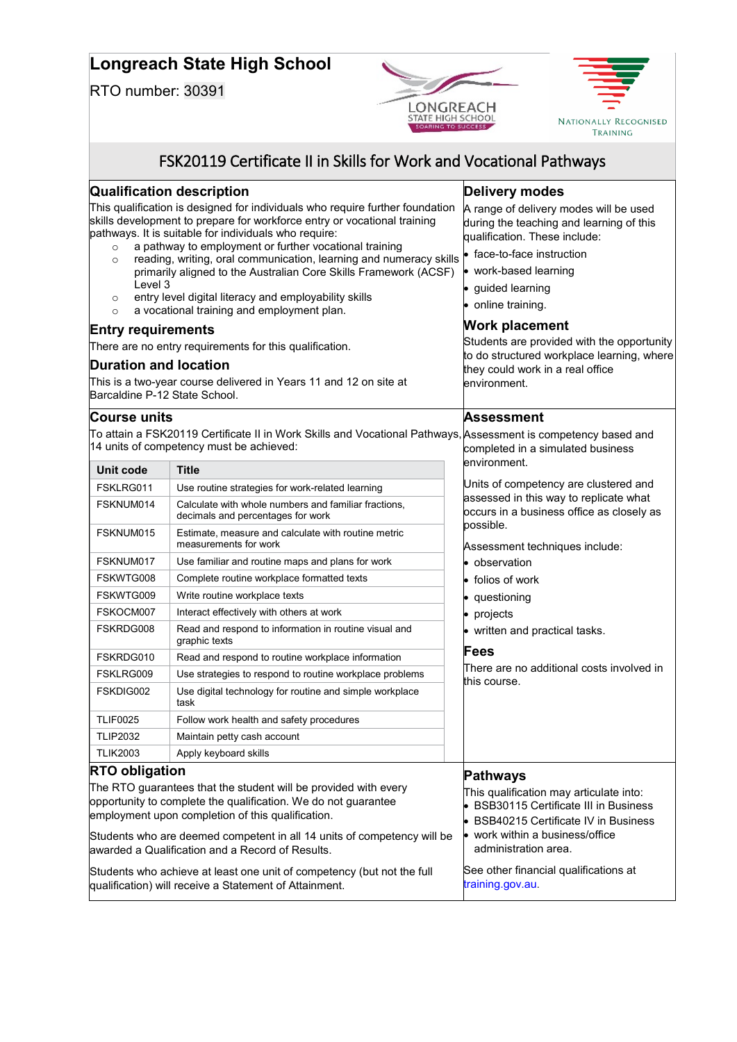## **Longreach State High School**

RTO number: 30391





## FSK20119 Certificate II in Skills for Work and Vocational Pathways

| <b>Qualification description</b>                                                                                                                                                                                                                                             |                                                                                           | <b>Delivery modes</b>                                                                                                         |
|------------------------------------------------------------------------------------------------------------------------------------------------------------------------------------------------------------------------------------------------------------------------------|-------------------------------------------------------------------------------------------|-------------------------------------------------------------------------------------------------------------------------------|
| This qualification is designed for individuals who require further foundation<br>skills development to prepare for workforce entry or vocational training<br>pathways. It is suitable for individuals who require:<br>a pathway to employment or further vocational training |                                                                                           | A range of delivery modes will be used<br>during the teaching and learning of this<br>qualification. These include:           |
| $\circ$<br>reading, writing, oral communication, learning and numeracy skills<br>$\circ$                                                                                                                                                                                     |                                                                                           | face-to-face instruction                                                                                                      |
| primarily aligned to the Australian Core Skills Framework (ACSF)                                                                                                                                                                                                             |                                                                                           | • work-based learning                                                                                                         |
| Level 3                                                                                                                                                                                                                                                                      |                                                                                           | • guided learning                                                                                                             |
| entry level digital literacy and employability skills<br>$\circ$<br>a vocational training and employment plan.<br>$\circ$                                                                                                                                                    |                                                                                           | online training.                                                                                                              |
| <b>Entry requirements</b>                                                                                                                                                                                                                                                    |                                                                                           | <b>Work placement</b>                                                                                                         |
| There are no entry requirements for this qualification.                                                                                                                                                                                                                      |                                                                                           | Students are provided with the opportunity                                                                                    |
| <b>Duration and location</b>                                                                                                                                                                                                                                                 |                                                                                           | to do structured workplace learning, where                                                                                    |
|                                                                                                                                                                                                                                                                              | This is a two-year course delivered in Years 11 and 12 on site at                         | they could work in a real office<br>environment.                                                                              |
| Barcaldine P-12 State School.                                                                                                                                                                                                                                                |                                                                                           |                                                                                                                               |
| <b>Course units</b>                                                                                                                                                                                                                                                          |                                                                                           | Assessment                                                                                                                    |
| To attain a FSK20119 Certificate II in Work Skills and Vocational Pathways,∣Assessment is competency based and<br>14 units of competency must be achieved:                                                                                                                   |                                                                                           | completed in a simulated business<br>environment.                                                                             |
| Unit code                                                                                                                                                                                                                                                                    | <b>Title</b>                                                                              |                                                                                                                               |
| FSKLRG011                                                                                                                                                                                                                                                                    | Use routine strategies for work-related learning                                          | Units of competency are clustered and                                                                                         |
| FSKNUM014                                                                                                                                                                                                                                                                    | Calculate with whole numbers and familiar fractions,<br>decimals and percentages for work | assessed in this way to replicate what<br>occurs in a business office as closely as<br>possible.                              |
| FSKNUM015                                                                                                                                                                                                                                                                    | Estimate, measure and calculate with routine metric<br>measurements for work              | Assessment techniques include:                                                                                                |
| FSKNUM017                                                                                                                                                                                                                                                                    | Use familiar and routine maps and plans for work                                          | • observation                                                                                                                 |
| FSKWTG008                                                                                                                                                                                                                                                                    | Complete routine workplace formatted texts                                                | folios of work                                                                                                                |
| FSKWTG009                                                                                                                                                                                                                                                                    | Write routine workplace texts                                                             | • questioning                                                                                                                 |
| FSKOCM007                                                                                                                                                                                                                                                                    | Interact effectively with others at work                                                  | projects                                                                                                                      |
| FSKRDG008                                                                                                                                                                                                                                                                    | Read and respond to information in routine visual and<br>graphic texts                    | written and practical tasks.                                                                                                  |
| FSKRDG010                                                                                                                                                                                                                                                                    | Read and respond to routine workplace information                                         | Fees                                                                                                                          |
| FSKLRG009                                                                                                                                                                                                                                                                    | Use strategies to respond to routine workplace problems                                   | There are no additional costs involved in<br>this course.                                                                     |
| FSKDIG002                                                                                                                                                                                                                                                                    | Use digital technology for routine and simple workplace<br>task                           |                                                                                                                               |
| <b>TLIF0025</b>                                                                                                                                                                                                                                                              | Follow work health and safety procedures                                                  |                                                                                                                               |
| <b>TLIP2032</b>                                                                                                                                                                                                                                                              | Maintain petty cash account                                                               |                                                                                                                               |
| <b>TLIK2003</b>                                                                                                                                                                                                                                                              | Apply keyboard skills                                                                     |                                                                                                                               |
| <b>RTO obligation</b>                                                                                                                                                                                                                                                        |                                                                                           | <b>Pathways</b>                                                                                                               |
| The RTO guarantees that the student will be provided with every<br>opportunity to complete the qualification. We do not guarantee<br>employment upon completion of this qualification.                                                                                       |                                                                                           | This qualification may articulate into:<br><b>BSB30115 Certificate III in Business</b><br>BSB40215 Certificate IV in Business |
| Students who are deemed competent in all 14 units of competency will be<br>awarded a Qualification and a Record of Results.                                                                                                                                                  |                                                                                           | work within a business/office<br>administration area.                                                                         |
| Students who achieve at least one unit of competency (but not the full<br>qualification) will receive a Statement of Attainment.                                                                                                                                             |                                                                                           | See other financial qualifications at<br>training.gov.au.                                                                     |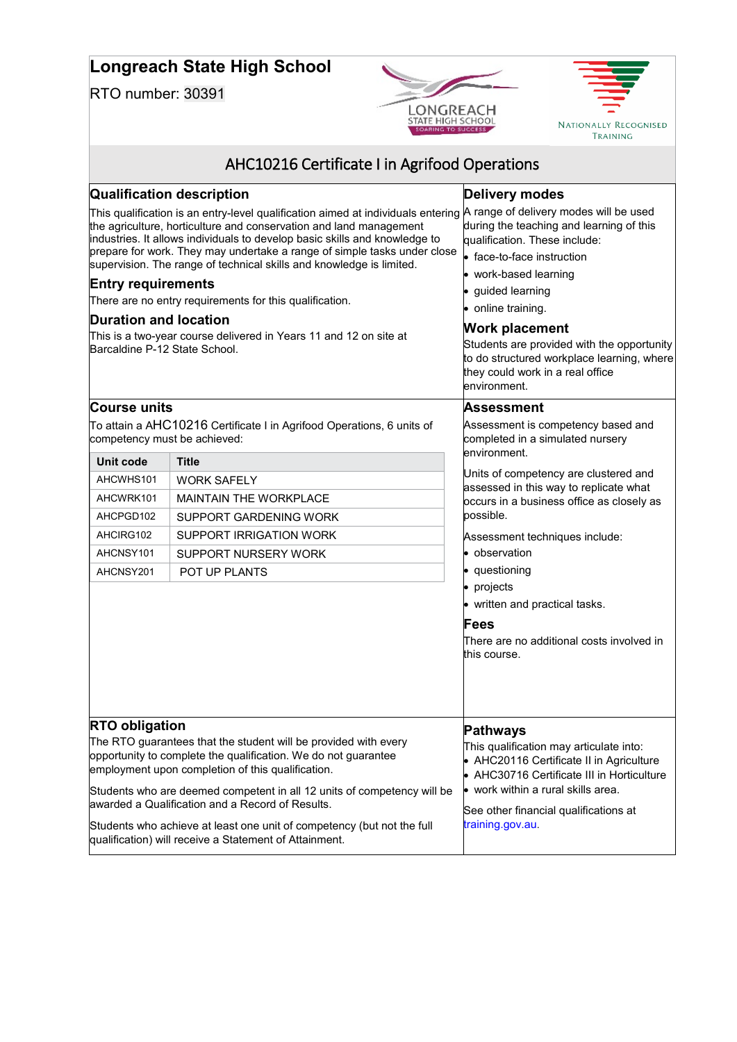# **Longreach State High School**

RTO number: 30391





## AHC10216 Certificate I in Agrifood Operations

| <b>Qualification description</b>                                                                                                                                                                                                                                                                                                                                                         |                               | <b>Delivery modes</b>                                                                                                                                                   |
|------------------------------------------------------------------------------------------------------------------------------------------------------------------------------------------------------------------------------------------------------------------------------------------------------------------------------------------------------------------------------------------|-------------------------------|-------------------------------------------------------------------------------------------------------------------------------------------------------------------------|
| This qualification is an entry-level qualification aimed at individuals entering<br>the agriculture, horticulture and conservation and land management<br>industries. It allows individuals to develop basic skills and knowledge to<br>prepare for work. They may undertake a range of simple tasks under close<br>supervision. The range of technical skills and knowledge is limited. |                               | A range of delivery modes will be used<br>during the teaching and learning of this<br>qualification. These include:<br>• face-to-face instruction                       |
| <b>Entry requirements</b>                                                                                                                                                                                                                                                                                                                                                                |                               | • work-based learning                                                                                                                                                   |
| There are no entry requirements for this qualification.                                                                                                                                                                                                                                                                                                                                  |                               | guided learning<br>· online training.                                                                                                                                   |
| <b>Duration and location</b>                                                                                                                                                                                                                                                                                                                                                             |                               |                                                                                                                                                                         |
| This is a two-year course delivered in Years 11 and 12 on site at<br>Barcaldine P-12 State School.                                                                                                                                                                                                                                                                                       |                               | <b>Work placement</b><br>Students are provided with the opportunity<br>to do structured workplace learning, where<br>they could work in a real office<br>environment.   |
| <b>Course units</b>                                                                                                                                                                                                                                                                                                                                                                      |                               | Assessment                                                                                                                                                              |
| To attain a AHC10216 Certificate I in Agrifood Operations, 6 units of<br>competency must be achieved:                                                                                                                                                                                                                                                                                    |                               | Assessment is competency based and<br>completed in a simulated nursery<br>environment.                                                                                  |
| <b>Unit code</b>                                                                                                                                                                                                                                                                                                                                                                         | <b>Title</b>                  |                                                                                                                                                                         |
| AHCWHS101                                                                                                                                                                                                                                                                                                                                                                                | <b>WORK SAFELY</b>            | Units of competency are clustered and<br>assessed in this way to replicate what                                                                                         |
| AHCWRK101                                                                                                                                                                                                                                                                                                                                                                                | <b>MAINTAIN THE WORKPLACE</b> | occurs in a business office as closely as                                                                                                                               |
| AHCPGD102                                                                                                                                                                                                                                                                                                                                                                                | <b>SUPPORT GARDENING WORK</b> | possible.                                                                                                                                                               |
| AHCIRG102                                                                                                                                                                                                                                                                                                                                                                                | SUPPORT IRRIGATION WORK       | Assessment techniques include:                                                                                                                                          |
| AHCNSY101                                                                                                                                                                                                                                                                                                                                                                                | SUPPORT NURSERY WORK          | • observation                                                                                                                                                           |
| AHCNSY201                                                                                                                                                                                                                                                                                                                                                                                | POT UP PLANTS                 | questioning                                                                                                                                                             |
|                                                                                                                                                                                                                                                                                                                                                                                          |                               | projects                                                                                                                                                                |
|                                                                                                                                                                                                                                                                                                                                                                                          |                               | • written and practical tasks.                                                                                                                                          |
|                                                                                                                                                                                                                                                                                                                                                                                          |                               | Fees<br>There are no additional costs involved in<br>this course.                                                                                                       |
| <b>RTO obligation</b>                                                                                                                                                                                                                                                                                                                                                                    |                               | <b>Pathways</b>                                                                                                                                                         |
| The RTO guarantees that the student will be provided with every<br>opportunity to complete the qualification. We do not guarantee<br>employment upon completion of this qualification.                                                                                                                                                                                                   |                               | This qualification may articulate into:<br>• AHC20116 Certificate II in Agriculture<br>• AHC30716 Certificate III in Horticulture<br>• work within a rural skills area. |
| Students who are deemed competent in all 12 units of competency will be<br>awarded a Qualification and a Record of Results.                                                                                                                                                                                                                                                              |                               |                                                                                                                                                                         |
| Students who achieve at least one unit of competency (but not the full<br>qualification) will receive a Statement of Attainment.                                                                                                                                                                                                                                                         |                               | See other financial qualifications at<br>training.gov.au.                                                                                                               |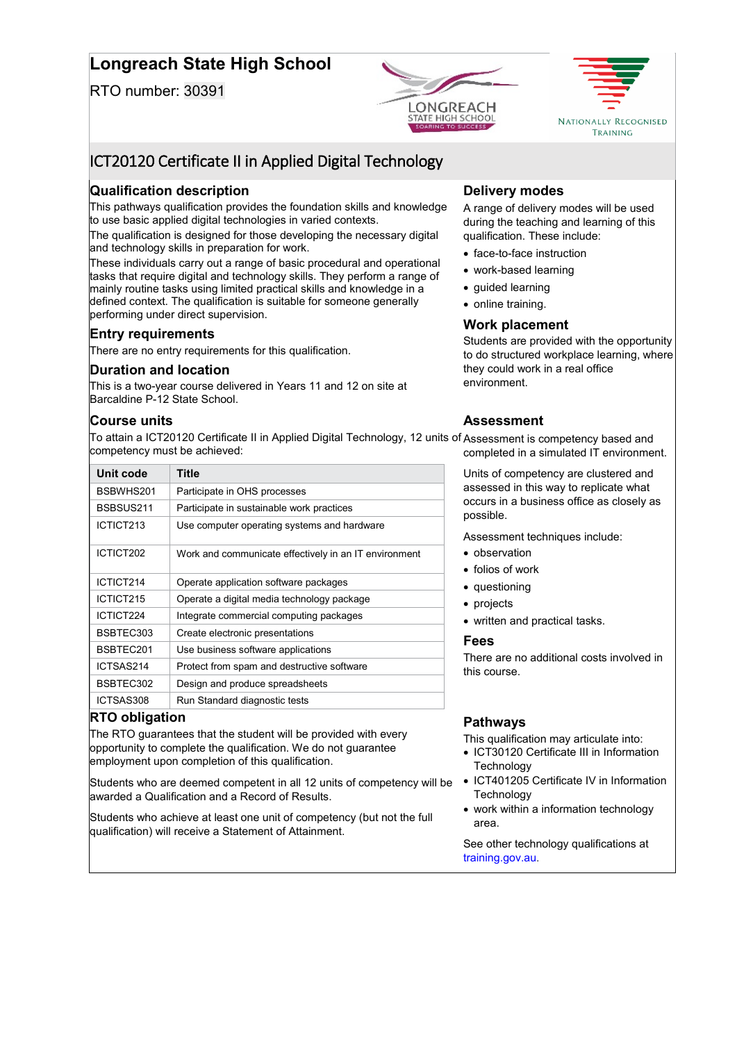## **Longreach State High School**

RTO number: 30391





## ICT20120 Certificate II in Applied Digital Technology

## **Qualification description**

This pathways qualification provides the foundation skills and knowledge to use basic applied digital technologies in varied contexts.

The qualification is designed for those developing the necessary digital and technology skills in preparation for work.

These individuals carry out a range of basic procedural and operational tasks that require digital and technology skills. They perform a range of mainly routine tasks using limited practical skills and knowledge in a defined context. The qualification is suitable for someone generally performing under direct supervision.

## **Entry requirements**

There are no entry requirements for this qualification.

## **Duration and location**

This is a two-year course delivered in Years 11 and 12 on site at Barcaldine P-12 State School.

## **Course units**

To attain a ICT20120 Certificate II in Applied Digital Technology, 12 units of Assessment is competency based and competency must be achieved:

| Unit code | Title                                                 |
|-----------|-------------------------------------------------------|
| BSBWHS201 | Participate in OHS processes                          |
| BSBSUS211 | Participate in sustainable work practices             |
| ICTICT213 | Use computer operating systems and hardware           |
| ICTICT202 | Work and communicate effectively in an IT environment |
| ICTICT214 | Operate application software packages                 |
| ICTICT215 | Operate a digital media technology package            |
| ICTICT224 | Integrate commercial computing packages               |
| BSBTEC303 | Create electronic presentations                       |
| BSBTEC201 | Use business software applications                    |
| ICTSAS214 | Protect from spam and destructive software            |
| BSBTEC302 | Design and produce spreadsheets                       |
| ICTSAS308 | Run Standard diagnostic tests                         |

## **RTO obligation**

The RTO guarantees that the student will be provided with every opportunity to complete the qualification. We do not guarantee employment upon completion of this qualification.

Students who are deemed competent in all 12 units of competency will be awarded a Qualification and a Record of Results.

Students who achieve at least one unit of competency (but not the full qualification) will receive a Statement of Attainment.

## **Delivery modes**

A range of delivery modes will be used during the teaching and learning of this qualification. These include:

- face-to-face instruction
- work-based learning
- guided learning
- online training.

#### **Work placement**

Students are provided with the opportunity to do structured workplace learning, where they could work in a real office environment.

## **Assessment**

completed in a simulated IT environment.

Units of competency are clustered and assessed in this way to replicate what occurs in a business office as closely as possible.

Assessment techniques include:

- observation
- folios of work
- questioning
- projects
- written and practical tasks.

## **Fees**

There are no additional costs involved in this course.

## **Pathways**

This qualification may articulate into:

- ICT30120 Certificate III in Information **Technology**
- ICT401205 Certificate IV in Information **Technology**
- work within a information technology area.

See other technology qualifications at [training.gov.au.](https://training.gov.au/)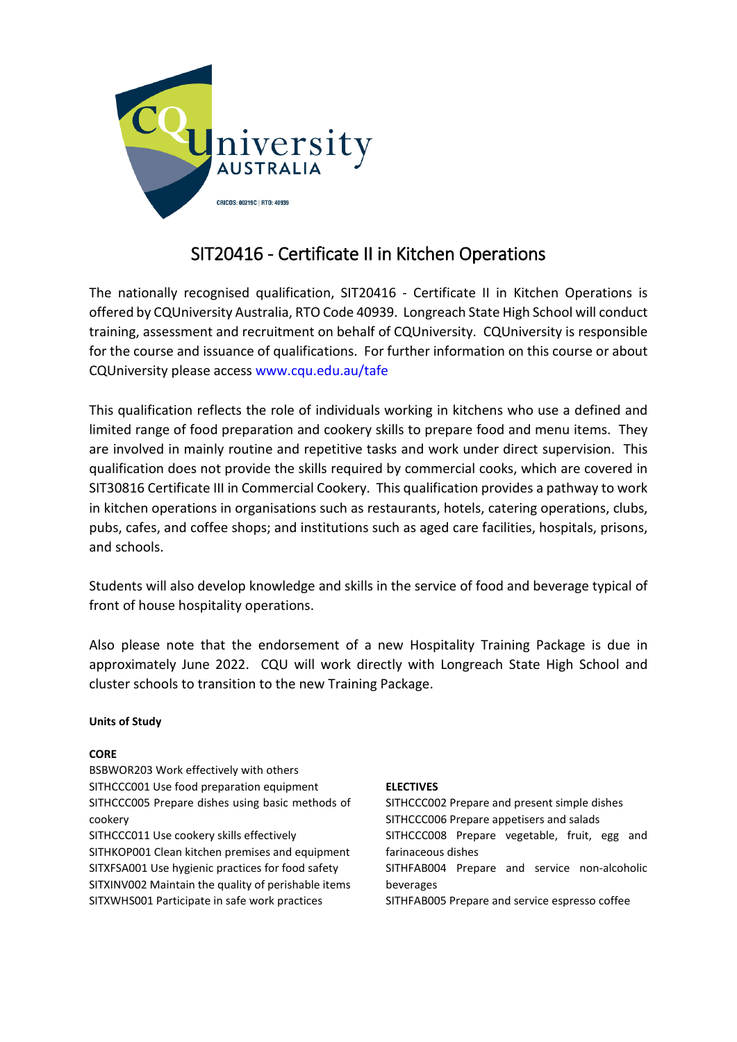

## SIT20416 - Certificate II in Kitchen Operations

The nationally recognised qualification, SIT20416 - Certificate II in Kitchen Operations is offered by CQUniversity Australia, RTO Code 40939. Longreach State High School will conduct training, assessment and recruitment on behalf of CQUniversity. CQUniversity is responsible for the course and issuance of qualifications. For further information on this course or about CQUniversity please access [www.cqu.edu.au/tafe](http://www.cqu.edu.au/tafe) 

This qualification reflects the role of individuals working in kitchens who use a defined and limited range of food preparation and cookery skills to prepare food and menu items. They are involved in mainly routine and repetitive tasks and work under direct supervision. This qualification does not provide the skills required by commercial cooks, which are covered in SIT30816 Certificate III in Commercial Cookery. This qualification provides a pathway to work in kitchen operations in organisations such as restaurants, hotels, catering operations, clubs, pubs, cafes, and coffee shops; and institutions such as aged care facilities, hospitals, prisons, and schools.

Students will also develop knowledge and skills in the service of food and beverage typical of front of house hospitality operations.

Also please note that the endorsement of a new Hospitality Training Package is due in approximately June 2022. CQU will work directly with Longreach State High School and cluster schools to transition to the new Training Package.

## **Units of Study**

## **CORE**

BSBWOR203 Work effectively with others SITHCCC001 Use food preparation equipment SITHCCC005 Prepare dishes using basic methods of cookery SITHCCC011 Use cookery skills effectively SITHKOP001 Clean kitchen premises and equipment SITXFSA001 Use hygienic practices for food safety SITXINV002 Maintain the quality of perishable items SITXWHS001 Participate in safe work practices

## **ELECTIVES**

SITHCCC002 Prepare and present simple dishes SITHCCC006 Prepare appetisers and salads SITHCCC008 Prepare vegetable, fruit, egg and farinaceous dishes SITHFAB004 Prepare and service non-alcoholic beverages SITHFAB005 Prepare and service espresso coffee